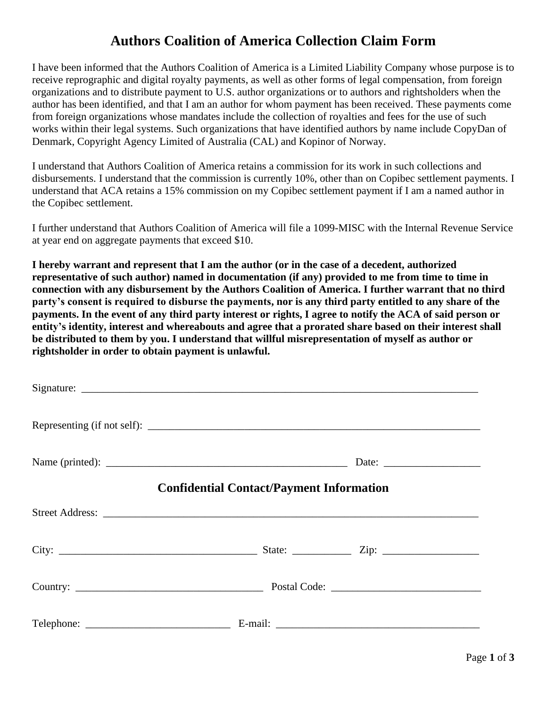## **Authors Coalition of America Collection Claim Form**

I have been informed that the Authors Coalition of America is a Limited Liability Company whose purpose is to receive reprographic and digital royalty payments, as well as other forms of legal compensation, from foreign organizations and to distribute payment to U.S. author organizations or to authors and rightsholders when the author has been identified, and that I am an author for whom payment has been received. These payments come from foreign organizations whose mandates include the collection of royalties and fees for the use of such works within their legal systems. Such organizations that have identified authors by name include CopyDan of Denmark, Copyright Agency Limited of Australia (CAL) and Kopinor of Norway.

I understand that Authors Coalition of America retains a commission for its work in such collections and disbursements. I understand that the commission is currently 10%, other than on Copibec settlement payments. I understand that ACA retains a 15% commission on my Copibec settlement payment if I am a named author in the Copibec settlement.

I further understand that Authors Coalition of America will file a 1099-MISC with the Internal Revenue Service at year end on aggregate payments that exceed \$10.

**I hereby warrant and represent that I am the author (or in the case of a decedent, authorized representative of such author) named in documentation (if any) provided to me from time to time in connection with any disbursement by the Authors Coalition of America. I further warrant that no third party's consent is required to disburse the payments, nor is any third party entitled to any share of the payments. In the event of any third party interest or rights, I agree to notify the ACA of said person or entity's identity, interest and whereabouts and agree that a prorated share based on their interest shall be distributed to them by you. I understand that willful misrepresentation of myself as author or rightsholder in order to obtain payment is unlawful.**

| <b>Confidential Contact/Payment Information</b> |  |  |  |
|-------------------------------------------------|--|--|--|
|                                                 |  |  |  |
|                                                 |  |  |  |
|                                                 |  |  |  |
|                                                 |  |  |  |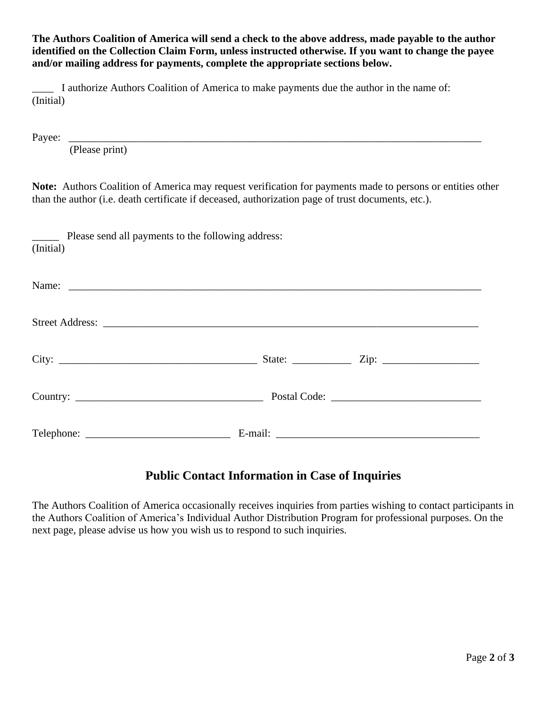## **The Authors Coalition of America will send a check to the above address, made payable to the author identified on the Collection Claim Form, unless instructed otherwise. If you want to change the payee and/or mailing address for payments, complete the appropriate sections below.**

\_\_\_\_ I authorize Authors Coalition of America to make payments due the author in the name of: (Initial)

Payee: \_\_\_\_\_\_\_\_\_\_\_\_\_\_\_\_\_\_\_\_\_\_\_\_\_\_\_\_\_\_\_\_\_\_\_\_\_\_\_\_\_\_\_\_\_\_\_\_\_\_\_\_\_\_\_\_\_\_\_\_\_\_\_\_\_\_\_\_\_\_\_\_\_\_\_\_\_

(Please print)

**Note:** Authors Coalition of America may request verification for payments made to persons or entities other than the author (i.e. death certificate if deceased, authorization page of trust documents, etc.).

| Please send all payments to the following address:<br>$\overline{\phantom{a}}$<br>(Initial) |  |
|---------------------------------------------------------------------------------------------|--|
|                                                                                             |  |
|                                                                                             |  |
|                                                                                             |  |
|                                                                                             |  |
|                                                                                             |  |

## **Public Contact Information in Case of Inquiries**

The Authors Coalition of America occasionally receives inquiries from parties wishing to contact participants in the Authors Coalition of America's Individual Author Distribution Program for professional purposes. On the next page, please advise us how you wish us to respond to such inquiries.